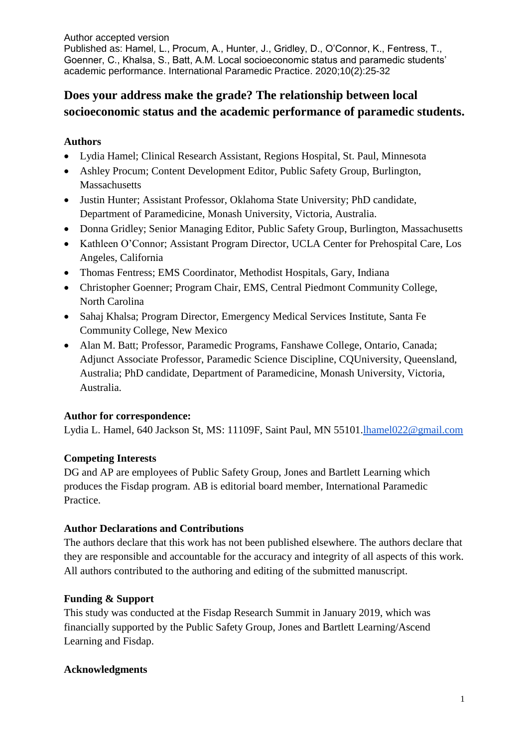# **Does your address make the grade? The relationship between local socioeconomic status and the academic performance of paramedic students.**

### **Authors**

- Lydia Hamel; Clinical Research Assistant, Regions Hospital, St. Paul, Minnesota
- Ashley Procum; Content Development Editor, Public Safety Group, Burlington, **Massachusetts**
- Justin Hunter; Assistant Professor, Oklahoma State University; PhD candidate, Department of Paramedicine, Monash University, Victoria, Australia.
- Donna Gridley; Senior Managing Editor, Public Safety Group, Burlington, Massachusetts
- Kathleen O'Connor; Assistant Program Director, UCLA Center for Prehospital Care, Los Angeles, California
- Thomas Fentress; EMS Coordinator, Methodist Hospitals, Gary, Indiana
- Christopher Goenner; Program Chair, EMS, Central Piedmont Community College, North Carolina
- Sahaj Khalsa; Program Director, Emergency Medical Services Institute, Santa Fe Community College, New Mexico
- Alan M. Batt; Professor, Paramedic Programs, Fanshawe College, Ontario, Canada; Adjunct Associate Professor, Paramedic Science Discipline, CQUniversity, Queensland, Australia; PhD candidate, Department of Paramedicine, Monash University, Victoria, Australia.

# **Author for correspondence:**

Lydia L. Hamel, 640 Jackson St, MS: 11109F, Saint Paul, MN 55101[.lhamel022@gmail.com](mailto:lhamel022@gmail.com)

# **Competing Interests**

DG and AP are employees of Public Safety Group, Jones and Bartlett Learning which produces the Fisdap program. AB is editorial board member, International Paramedic Practice.

### **Author Declarations and Contributions**

The authors declare that this work has not been published elsewhere. The authors declare that they are responsible and accountable for the accuracy and integrity of all aspects of this work. All authors contributed to the authoring and editing of the submitted manuscript.

### **Funding & Support**

This study was conducted at the Fisdap Research Summit in January 2019, which was financially supported by the Public Safety Group, Jones and Bartlett Learning/Ascend Learning and Fisdap.

### **Acknowledgments**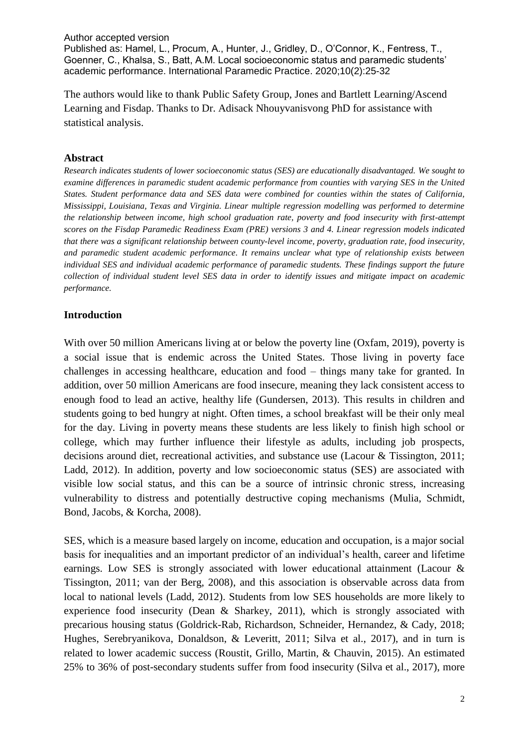The authors would like to thank Public Safety Group, Jones and Bartlett Learning/Ascend Learning and Fisdap. Thanks to Dr. Adisack Nhouyvanisvong PhD for assistance with statistical analysis.

#### **Abstract**

*Research indicates students of lower socioeconomic status (SES) are educationally disadvantaged. We sought to examine differences in paramedic student academic performance from counties with varying SES in the United States. Student performance data and SES data were combined for counties within the states of California, Mississippi, Louisiana, Texas and Virginia. Linear multiple regression modelling was performed to determine the relationship between income, high school graduation rate, poverty and food insecurity with first-attempt scores on the Fisdap Paramedic Readiness Exam (PRE) versions 3 and 4. Linear regression models indicated that there was a significant relationship between county-level income, poverty, graduation rate, food insecurity, and paramedic student academic performance. It remains unclear what type of relationship exists between individual SES and individual academic performance of paramedic students. These findings support the future collection of individual student level SES data in order to identify issues and mitigate impact on academic performance.*

#### **Introduction**

With over 50 million Americans living at or below the poverty line (Oxfam, 2019), poverty is a social issue that is endemic across the United States. Those living in poverty face challenges in accessing healthcare, education and food – things many take for granted. In addition, over 50 million Americans are food insecure, meaning they lack consistent access to enough food to lead an active, healthy life (Gundersen, 2013). This results in children and students going to bed hungry at night. Often times, a school breakfast will be their only meal for the day. Living in poverty means these students are less likely to finish high school or college, which may further influence their lifestyle as adults, including job prospects, decisions around diet, recreational activities, and substance use (Lacour & Tissington, 2011; Ladd, 2012). In addition, poverty and low socioeconomic status (SES) are associated with visible low social status, and this can be a source of intrinsic chronic stress, increasing vulnerability to distress and potentially destructive coping mechanisms (Mulia, Schmidt, Bond, Jacobs, & Korcha, 2008).

SES, which is a measure based largely on income, education and occupation, is a major social basis for inequalities and an important predictor of an individual's health, career and lifetime earnings. Low SES is strongly associated with lower educational attainment (Lacour & Tissington, 2011; van der Berg, 2008), and this association is observable across data from local to national levels (Ladd, 2012). Students from low SES households are more likely to experience food insecurity (Dean & Sharkey, 2011), which is strongly associated with precarious housing status (Goldrick-Rab, Richardson, Schneider, Hernandez, & Cady, 2018; Hughes, Serebryanikova, Donaldson, & Leveritt, 2011; Silva et al., 2017), and in turn is related to lower academic success (Roustit, Grillo, Martin, & Chauvin, 2015). An estimated 25% to 36% of post-secondary students suffer from food insecurity (Silva et al., 2017), more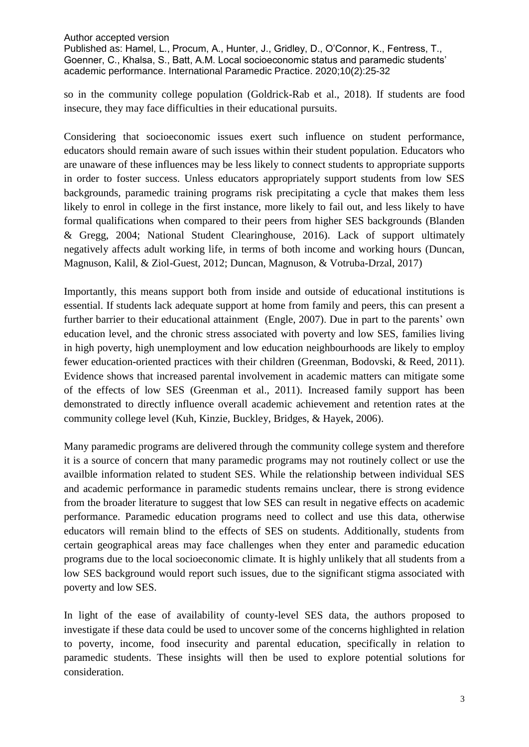so in the community college population (Goldrick-Rab et al., 2018). If students are food insecure, they may face difficulties in their educational pursuits.

Considering that socioeconomic issues exert such influence on student performance, educators should remain aware of such issues within their student population. Educators who are unaware of these influences may be less likely to connect students to appropriate supports in order to foster success. Unless educators appropriately support students from low SES backgrounds, paramedic training programs risk precipitating a cycle that makes them less likely to enrol in college in the first instance, more likely to fail out, and less likely to have formal qualifications when compared to their peers from higher SES backgrounds (Blanden & Gregg, 2004; National Student Clearinghouse, 2016). Lack of support ultimately negatively affects adult working life, in terms of both income and working hours (Duncan, Magnuson, Kalil, & Ziol-Guest, 2012; Duncan, Magnuson, & Votruba-Drzal, 2017)

Importantly, this means support both from inside and outside of educational institutions is essential. If students lack adequate support at home from family and peers, this can present a further barrier to their educational attainment (Engle, 2007). Due in part to the parents' own education level, and the chronic stress associated with poverty and low SES, families living in high poverty, high unemployment and low education neighbourhoods are likely to employ fewer education-oriented practices with their children (Greenman, Bodovski, & Reed, 2011). Evidence shows that increased parental involvement in academic matters can mitigate some of the effects of low SES (Greenman et al., 2011). Increased family support has been demonstrated to directly influence overall academic achievement and retention rates at the community college level (Kuh, Kinzie, Buckley, Bridges, & Hayek, 2006).

Many paramedic programs are delivered through the community college system and therefore it is a source of concern that many paramedic programs may not routinely collect or use the availble information related to student SES. While the relationship between individual SES and academic performance in paramedic students remains unclear, there is strong evidence from the broader literature to suggest that low SES can result in negative effects on academic performance. Paramedic education programs need to collect and use this data, otherwise educators will remain blind to the effects of SES on students. Additionally, students from certain geographical areas may face challenges when they enter and paramedic education programs due to the local socioeconomic climate. It is highly unlikely that all students from a low SES background would report such issues, due to the significant stigma associated with poverty and low SES.

In light of the ease of availability of county-level SES data, the authors proposed to investigate if these data could be used to uncover some of the concerns highlighted in relation to poverty, income, food insecurity and parental education, specifically in relation to paramedic students. These insights will then be used to explore potential solutions for consideration.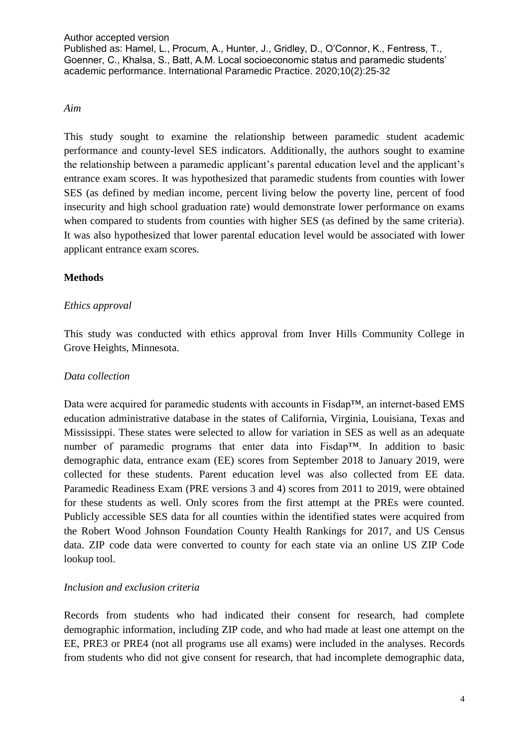#### *Aim*

This study sought to examine the relationship between paramedic student academic performance and county-level SES indicators. Additionally, the authors sought to examine the relationship between a paramedic applicant's parental education level and the applicant's entrance exam scores. It was hypothesized that paramedic students from counties with lower SES (as defined by median income, percent living below the poverty line, percent of food insecurity and high school graduation rate) would demonstrate lower performance on exams when compared to students from counties with higher SES (as defined by the same criteria). It was also hypothesized that lower parental education level would be associated with lower applicant entrance exam scores.

### **Methods**

### *Ethics approval*

This study was conducted with ethics approval from Inver Hills Community College in Grove Heights, Minnesota.

#### *Data collection*

Data were acquired for paramedic students with accounts in Fisdap™, an internet-based EMS education administrative database in the states of California, Virginia, Louisiana, Texas and Mississippi. These states were selected to allow for variation in SES as well as an adequate number of paramedic programs that enter data into Fisdap™. In addition to basic demographic data, entrance exam (EE) scores from September 2018 to January 2019, were collected for these students. Parent education level was also collected from EE data. Paramedic Readiness Exam (PRE versions 3 and 4) scores from 2011 to 2019, were obtained for these students as well. Only scores from the first attempt at the PREs were counted. Publicly accessible SES data for all counties within the identified states were acquired from the Robert Wood Johnson Foundation County Health Rankings for 2017, and US Census data. ZIP code data were converted to county for each state via an online US ZIP Code lookup tool.

### *Inclusion and exclusion criteria*

Records from students who had indicated their consent for research, had complete demographic information, including ZIP code, and who had made at least one attempt on the EE, PRE3 or PRE4 (not all programs use all exams) were included in the analyses. Records from students who did not give consent for research, that had incomplete demographic data,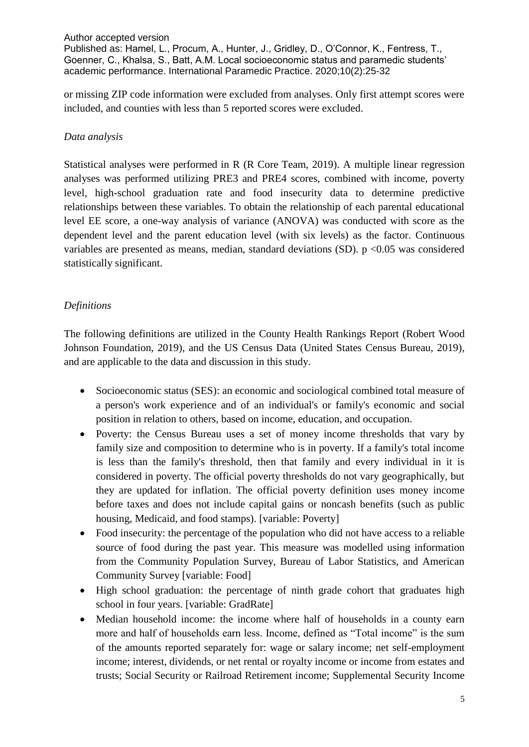or missing ZIP code information were excluded from analyses. Only first attempt scores were included, and counties with less than 5 reported scores were excluded.

### *Data analysis*

Statistical analyses were performed in R (R Core Team, 2019). A multiple linear regression analyses was performed utilizing PRE3 and PRE4 scores, combined with income, poverty level, high-school graduation rate and food insecurity data to determine predictive relationships between these variables. To obtain the relationship of each parental educational level EE score, a one-way analysis of variance (ANOVA) was conducted with score as the dependent level and the parent education level (with six levels) as the factor. Continuous variables are presented as means, median, standard deviations  $(SD)$ . p <0.05 was considered statistically significant.

### *Definitions*

The following definitions are utilized in the County Health Rankings Report (Robert Wood Johnson Foundation, 2019), and the US Census Data (United States Census Bureau, 2019), and are applicable to the data and discussion in this study.

- Socioeconomic status (SES): an economic and sociological combined total measure of a person's work experience and of an individual's or family's economic and social position in relation to others, based on income, education, and occupation.
- Poverty: the Census Bureau uses a set of money income thresholds that vary by family size and composition to determine who is in poverty. If a family's total income is less than the family's threshold, then that family and every individual in it is considered in poverty. The official poverty thresholds do not vary geographically, but they are updated for inflation. The official poverty definition uses money income before taxes and does not include capital gains or noncash benefits (such as public housing, Medicaid, and food stamps). [variable: Poverty]
- Food insecurity: the percentage of the population who did not have access to a reliable source of food during the past year. This measure was modelled using information from the Community Population Survey, Bureau of Labor Statistics, and American Community Survey [variable: Food]
- High school graduation: the percentage of ninth grade cohort that graduates high school in four years. [variable: GradRate]
- Median household income: the income where half of households in a county earn more and half of households earn less. Income, defined as "Total income" is the sum of the amounts reported separately for: wage or salary income; net self-employment income; interest, dividends, or net rental or royalty income or income from estates and trusts; Social Security or Railroad Retirement income; Supplemental Security Income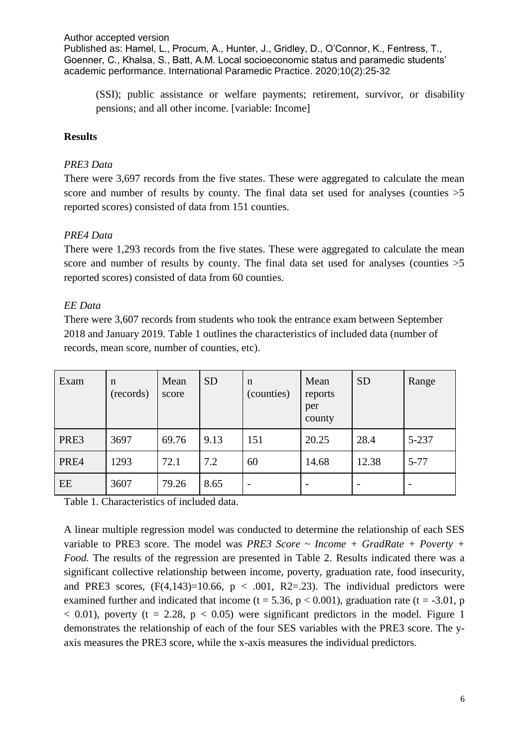(SSI); public assistance or welfare payments; retirement, survivor, or disability pensions; and all other income. [variable: Income]

#### **Results**

#### *PRE3 Data*

There were 3,697 records from the five states. These were aggregated to calculate the mean score and number of results by county. The final data set used for analyses (counties  $>5$ reported scores) consisted of data from 151 counties.

#### *PRE4 Data*

There were 1,293 records from the five states. These were aggregated to calculate the mean score and number of results by county. The final data set used for analyses (counties  $>5$ reported scores) consisted of data from 60 counties.

#### *EE Data*

There were 3,607 records from students who took the entrance exam between September 2018 and January 2019. Table 1 outlines the characteristics of included data (number of records, mean score, number of counties, etc).

| Exam | $\mathbf n$<br>(records) | Mean<br>score | <b>SD</b> | n<br>(counties)          | Mean<br>reports<br>per<br>county | <b>SD</b>                | Range    |
|------|--------------------------|---------------|-----------|--------------------------|----------------------------------|--------------------------|----------|
| PRE3 | 3697                     | 69.76         | 9.13      | 151                      | 20.25                            | 28.4                     | 5-237    |
| PRE4 | 1293                     | 72.1          | 7.2       | 60                       | 14.68                            | 12.38                    | $5 - 77$ |
| EE   | 3607                     | 79.26         | 8.65      | $\overline{\phantom{a}}$ |                                  | $\overline{\phantom{0}}$ |          |

Table 1. Characteristics of included data.

A linear multiple regression model was conducted to determine the relationship of each SES variable to PRE3 score. The model was *PRE3 Score ~ Income + GradRate + Poverty + Food.* The results of the regression are presented in Table 2. Results indicated there was a significant collective relationship between income, poverty, graduation rate, food insecurity, and PRE3 scores,  $(F(4, 143)=10.66, p < .001, R2=.23)$ . The individual predictors were examined further and indicated that income ( $t = 5.36$ ,  $p < 0.001$ ), graduation rate ( $t = -3.01$ , p  $< 0.01$ ), poverty (t = 2.28, p  $< 0.05$ ) were significant predictors in the model. Figure 1 demonstrates the relationship of each of the four SES variables with the PRE3 score. The yaxis measures the PRE3 score, while the x-axis measures the individual predictors.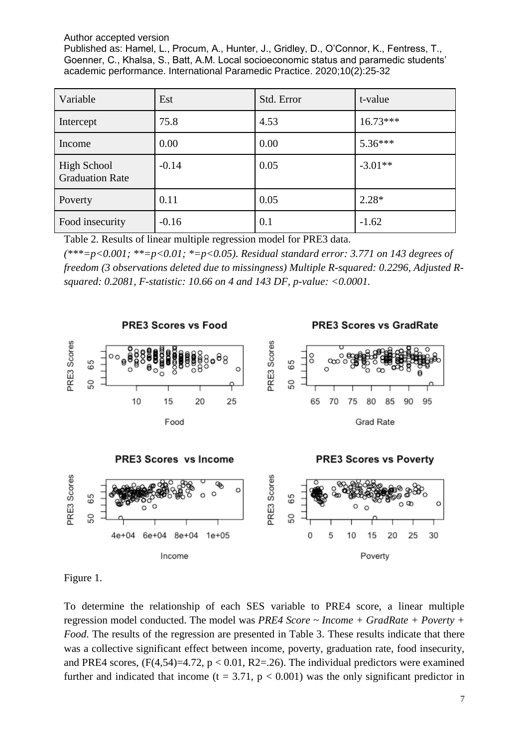| Variable                                     | Est     | Std. Error | t-value    |
|----------------------------------------------|---------|------------|------------|
| Intercept                                    | 75.8    | 4.53       | $16.73***$ |
| Income                                       | 0.00    | 0.00       | $5.36***$  |
| <b>High School</b><br><b>Graduation Rate</b> | $-0.14$ | 0.05       | $-3.01**$  |
| Poverty                                      | 0.11    | 0.05       | $2.28*$    |
| Food insecurity                              | $-0.16$ | 0.1        | $-1.62$    |

Table 2. Results of linear multiple regression model for PRE3 data.

*(\*\*\*=p<0.001; \*\*=p<0.01; \*=p<0.05). Residual standard error: 3.771 on 143 degrees of freedom (3 observations deleted due to missingness) Multiple R-squared: 0.2296, Adjusted Rsquared: 0.2081, F-statistic: 10.66 on 4 and 143 DF, p-value: <0.0001.*



Figure 1.

To determine the relationship of each SES variable to PRE4 score, a linear multiple regression model conducted. The model was *PRE4 Score ~ Income + GradRate + Poverty + Food*. The results of the regression are presented in Table 3. These results indicate that there was a collective significant effect between income, poverty, graduation rate, food insecurity, and PRE4 scores,  $(F(4,54)=4.72, p < 0.01, R2=.26)$ . The individual predictors were examined further and indicated that income  $(t = 3.71, p < 0.001)$  was the only significant predictor in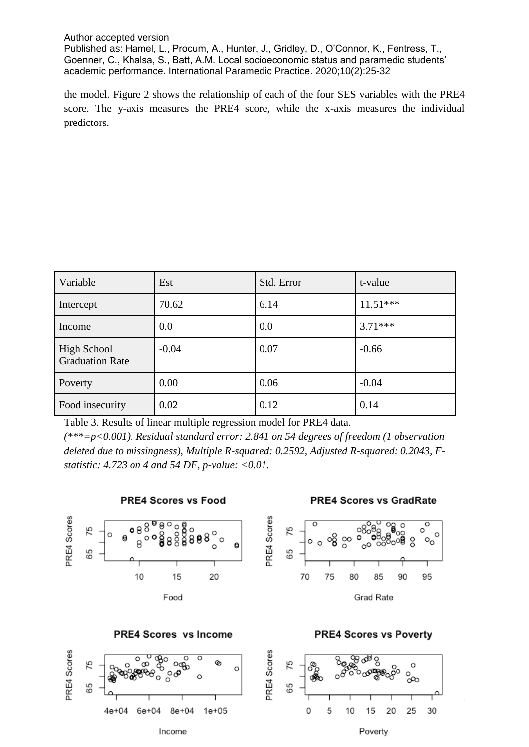the model. Figure 2 shows the relationship of each of the four SES variables with the PRE4 score. The y-axis measures the PRE4 score, while the x-axis measures the individual predictors.

| Variable                                     | Est     | Std. Error | t-value    |
|----------------------------------------------|---------|------------|------------|
| Intercept                                    | 70.62   | 6.14       | $11.51***$ |
| Income                                       | 0.0     | 0.0        | $3.71***$  |
| <b>High School</b><br><b>Graduation Rate</b> | $-0.04$ | 0.07       | $-0.66$    |
| Poverty                                      | 0.00    | 0.06       | $-0.04$    |
| Food insecurity                              | 0.02    | 0.12       | 0.14       |

Table 3. Results of linear multiple regression model for PRE4 data.

Income

*(\*\*\*=p<0.001). Residual standard error: 2.841 on 54 degrees of freedom (1 observation deleted due to missingness), Multiple R-squared: 0.2592, Adjusted R-squared: 0.2043, Fstatistic: 4.723 on 4 and 54 DF, p-value: <0.01.*



Poverty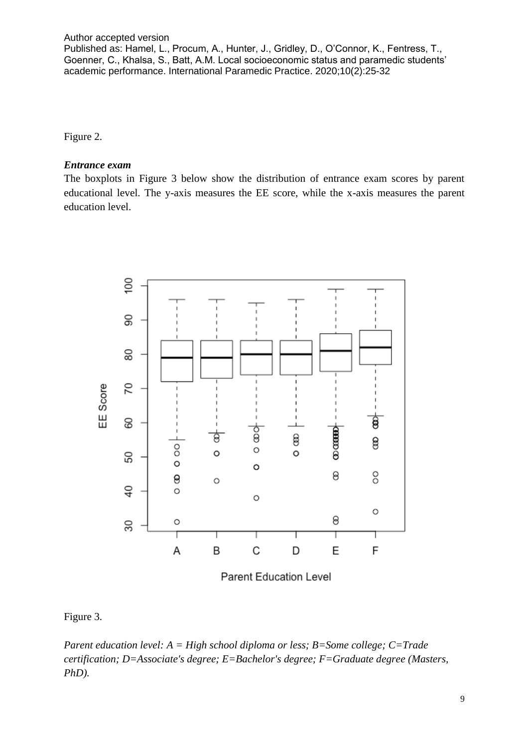Figure 2.

#### *Entrance exam*

The boxplots in Figure 3 below show the distribution of entrance exam scores by parent educational level. The y-axis measures the EE score, while the x-axis measures the parent education level.



Parent Education Level

### Figure 3.

*Parent education level: A = High school diploma or less; B=Some college; C=Trade certification; D=Associate's degree; E=Bachelor's degree; F=Graduate degree (Masters, PhD).*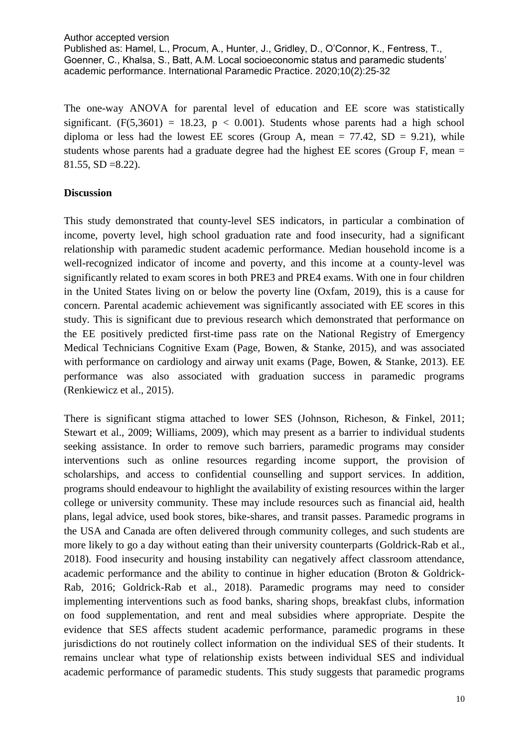The one-way ANOVA for parental level of education and EE score was statistically significant.  $(F(5,3601) = 18.23, p < 0.001)$ . Students whose parents had a high school diploma or less had the lowest EE scores (Group A, mean  $= 77.42$ , SD  $= 9.21$ ), while students whose parents had a graduate degree had the highest EE scores (Group F, mean = 81.55, SD =8.22).

#### **Discussion**

This study demonstrated that county-level SES indicators, in particular a combination of income, poverty level, high school graduation rate and food insecurity, had a significant relationship with paramedic student academic performance. Median household income is a well-recognized indicator of income and poverty, and this income at a county-level was significantly related to exam scores in both PRE3 and PRE4 exams. With one in four children in the United States living on or below the poverty line (Oxfam, 2019), this is a cause for concern. Parental academic achievement was significantly associated with EE scores in this study. This is significant due to previous research which demonstrated that performance on the EE positively predicted first-time pass rate on the National Registry of Emergency Medical Technicians Cognitive Exam (Page, Bowen, & Stanke, 2015), and was associated with performance on cardiology and airway unit exams (Page, Bowen, & Stanke, 2013). EE performance was also associated with graduation success in paramedic programs (Renkiewicz et al., 2015).

There is significant stigma attached to lower SES (Johnson, Richeson, & Finkel, 2011; Stewart et al., 2009; Williams, 2009), which may present as a barrier to individual students seeking assistance. In order to remove such barriers, paramedic programs may consider interventions such as online resources regarding income support, the provision of scholarships, and access to confidential counselling and support services. In addition, programs should endeavour to highlight the availability of existing resources within the larger college or university community. These may include resources such as financial aid, health plans, legal advice, used book stores, bike-shares, and transit passes. Paramedic programs in the USA and Canada are often delivered through community colleges, and such students are more likely to go a day without eating than their university counterparts (Goldrick-Rab et al., 2018). Food insecurity and housing instability can negatively affect classroom attendance, academic performance and the ability to continue in higher education (Broton & Goldrick-Rab, 2016; Goldrick-Rab et al., 2018). Paramedic programs may need to consider implementing interventions such as food banks, sharing shops, breakfast clubs, information on food supplementation, and rent and meal subsidies where appropriate. Despite the evidence that SES affects student academic performance, paramedic programs in these jurisdictions do not routinely collect information on the individual SES of their students. It remains unclear what type of relationship exists between individual SES and individual academic performance of paramedic students. This study suggests that paramedic programs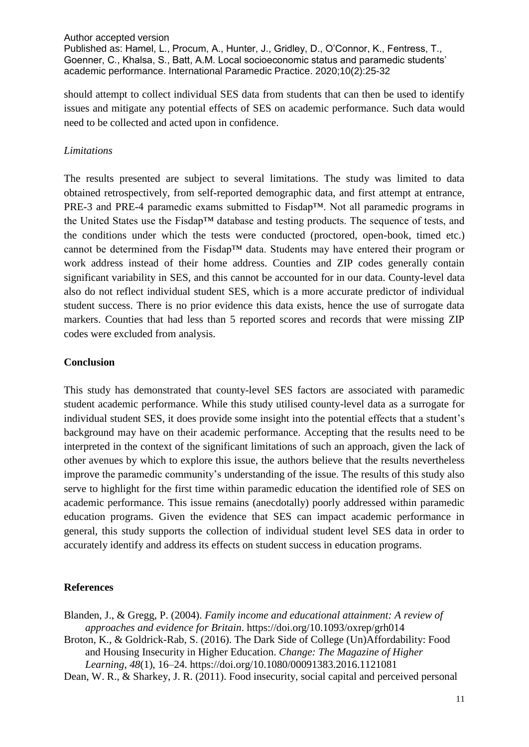should attempt to collect individual SES data from students that can then be used to identify issues and mitigate any potential effects of SES on academic performance. Such data would need to be collected and acted upon in confidence.

#### *Limitations*

The results presented are subject to several limitations. The study was limited to data obtained retrospectively, from self-reported demographic data, and first attempt at entrance, PRE-3 and PRE-4 paramedic exams submitted to Fisdap™. Not all paramedic programs in the United States use the Fisdap™ database and testing products. The sequence of tests, and the conditions under which the tests were conducted (proctored, open-book, timed etc.) cannot be determined from the Fisdap™ data. Students may have entered their program or work address instead of their home address. Counties and ZIP codes generally contain significant variability in SES, and this cannot be accounted for in our data. County-level data also do not reflect individual student SES, which is a more accurate predictor of individual student success. There is no prior evidence this data exists, hence the use of surrogate data markers. Counties that had less than 5 reported scores and records that were missing ZIP codes were excluded from analysis.

#### **Conclusion**

This study has demonstrated that county-level SES factors are associated with paramedic student academic performance. While this study utilised county-level data as a surrogate for individual student SES, it does provide some insight into the potential effects that a student's background may have on their academic performance. Accepting that the results need to be interpreted in the context of the significant limitations of such an approach, given the lack of other avenues by which to explore this issue, the authors believe that the results nevertheless improve the paramedic community's understanding of the issue. The results of this study also serve to highlight for the first time within paramedic education the identified role of SES on academic performance. This issue remains (anecdotally) poorly addressed within paramedic education programs. Given the evidence that SES can impact academic performance in general, this study supports the collection of individual student level SES data in order to accurately identify and address its effects on student success in education programs.

### **References**

Blanden, J., & Gregg, P. (2004). *Family income and educational attainment: A review of approaches and evidence for Britain*. https://doi.org/10.1093/oxrep/grh014 Broton, K., & Goldrick-Rab, S. (2016). The Dark Side of College (Un)Affordability: Food and Housing Insecurity in Higher Education. *Change: The Magazine of Higher Learning*, *48*(1), 16–24. https://doi.org/10.1080/00091383.2016.1121081

Dean, W. R., & Sharkey, J. R. (2011). Food insecurity, social capital and perceived personal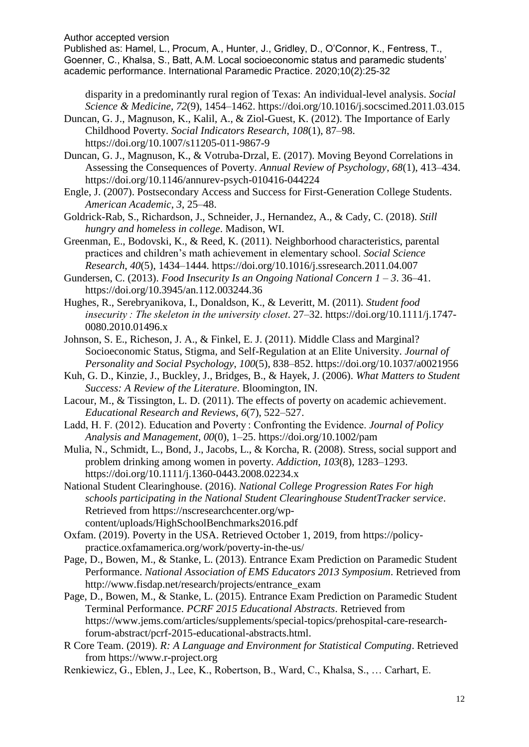Author accepted version

Published as: Hamel, L., Procum, A., Hunter, J., Gridley, D., O'Connor, K., Fentress, T., Goenner, C., Khalsa, S., Batt, A.M. Local socioeconomic status and paramedic students' academic performance. International Paramedic Practice. 2020;10(2):25-32

disparity in a predominantly rural region of Texas: An individual-level analysis. *Social Science & Medicine*, *72*(9), 1454–1462. https://doi.org/10.1016/j.socscimed.2011.03.015

Duncan, G. J., Magnuson, K., Kalil, A., & Ziol-Guest, K. (2012). The Importance of Early Childhood Poverty. *Social Indicators Research*, *108*(1), 87–98. https://doi.org/10.1007/s11205-011-9867-9

Duncan, G. J., Magnuson, K., & Votruba-Drzal, E. (2017). Moving Beyond Correlations in Assessing the Consequences of Poverty. *Annual Review of Psychology*, *68*(1), 413–434. https://doi.org/10.1146/annurev-psych-010416-044224

Engle, J. (2007). Postsecondary Access and Success for First-Generation College Students. *American Academic*, *3*, 25–48.

Goldrick-Rab, S., Richardson, J., Schneider, J., Hernandez, A., & Cady, C. (2018). *Still hungry and homeless in college*. Madison, WI.

Greenman, E., Bodovski, K., & Reed, K. (2011). Neighborhood characteristics, parental practices and children's math achievement in elementary school. *Social Science Research*, *40*(5), 1434–1444. https://doi.org/10.1016/j.ssresearch.2011.04.007

Gundersen, C. (2013). *Food Insecurity Is an Ongoing National Concern 1 – 3*. 36–41. https://doi.org/10.3945/an.112.003244.36

Hughes, R., Serebryanikova, I., Donaldson, K., & Leveritt, M. (2011). *Student food insecurity : The skeleton in the university closet*. 27–32. https://doi.org/10.1111/j.1747- 0080.2010.01496.x

Johnson, S. E., Richeson, J. A., & Finkel, E. J. (2011). Middle Class and Marginal? Socioeconomic Status, Stigma, and Self-Regulation at an Elite University. *Journal of Personality and Social Psychology*, *100*(5), 838–852. https://doi.org/10.1037/a0021956

Kuh, G. D., Kinzie, J., Buckley, J., Bridges, B., & Hayek, J. (2006). *What Matters to Student Success: A Review of the Literature*. Bloomington, IN.

Lacour, M., & Tissington, L. D. (2011). The effects of poverty on academic achievement. *Educational Research and Reviews*, *6*(7), 522–527.

Ladd, H. F. (2012). Education and Poverty : Confronting the Evidence. *Journal of Policy Analysis and Management*, *00*(0), 1–25. https://doi.org/10.1002/pam

Mulia, N., Schmidt, L., Bond, J., Jacobs, L., & Korcha, R. (2008). Stress, social support and problem drinking among women in poverty. *Addiction*, *103*(8), 1283–1293. https://doi.org/10.1111/j.1360-0443.2008.02234.x

National Student Clearinghouse. (2016). *National College Progression Rates For high schools participating in the National Student Clearinghouse StudentTracker service*. Retrieved from https://nscresearchcenter.org/wpcontent/uploads/HighSchoolBenchmarks2016.pdf

Oxfam. (2019). Poverty in the USA. Retrieved October 1, 2019, from https://policypractice.oxfamamerica.org/work/poverty-in-the-us/

Page, D., Bowen, M., & Stanke, L. (2013). Entrance Exam Prediction on Paramedic Student Performance. *National Association of EMS Educators 2013 Symposium*. Retrieved from http://www.fisdap.net/research/projects/entrance\_exam

Page, D., Bowen, M., & Stanke, L. (2015). Entrance Exam Prediction on Paramedic Student Terminal Performance. *PCRF 2015 Educational Abstracts*. Retrieved from https://www.jems.com/articles/supplements/special-topics/prehospital-care-researchforum-abstract/pcrf-2015-educational-abstracts.html.

R Core Team. (2019). *R: A Language and Environment for Statistical Computing*. Retrieved from https://www.r-project.org

Renkiewicz, G., Eblen, J., Lee, K., Robertson, B., Ward, C., Khalsa, S., … Carhart, E.